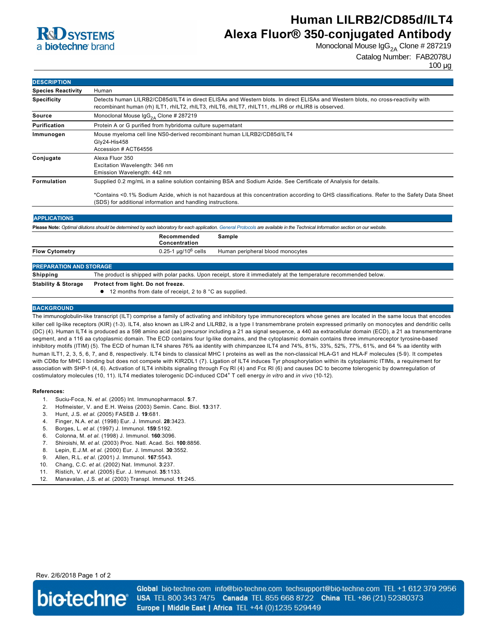

# **Human LILRB2/CD85d/ILT4 Alexa Fluor® 350-conjugated Antibody**

Monoclonal Mouse  $\lg G_{2A}$  Clone # 287219

## Catalog Number: FAB2078U

100 µg

| <b>DESCRIPTION</b>             |                                                                                                                                                                                                                                                                                                                                 |
|--------------------------------|---------------------------------------------------------------------------------------------------------------------------------------------------------------------------------------------------------------------------------------------------------------------------------------------------------------------------------|
| <b>Species Reactivity</b>      | Human                                                                                                                                                                                                                                                                                                                           |
| <b>Specificity</b>             | Detects human LILRB2/CD85d/ILT4 in direct ELISAs and Western blots. In direct ELISAs and Western blots, no cross-reactivity with<br>recombinant human (rh) ILT1, rhILT2, rhILT3, rhILT6, rhILT7, rhILT11, rhLIR6 or rhLIR8 is observed.                                                                                         |
| <b>Source</b>                  | Monoclonal Mouse $\text{lgG}_{2A}$ Clone # 287219                                                                                                                                                                                                                                                                               |
| Purification                   | Protein A or G purified from hybridoma culture supernatant                                                                                                                                                                                                                                                                      |
| Immunogen                      | Mouse myeloma cell line NS0-derived recombinant human LILRB2/CD85d/ILT4<br>Gly24-His458<br>Accession # ACT64556                                                                                                                                                                                                                 |
| Conjugate                      | Alexa Fluor 350<br>Excitation Wavelength: 346 nm<br>Emission Wavelength: 442 nm                                                                                                                                                                                                                                                 |
| <b>Formulation</b>             | Supplied 0.2 mg/mL in a saline solution containing BSA and Sodium Azide. See Certificate of Analysis for details.<br>*Contains <0.1% Sodium Azide, which is not hazardous at this concentration according to GHS classifications. Refer to the Safety Data Sheet<br>(SDS) for additional information and handling instructions. |
| <b>APPLICATIONS</b>            |                                                                                                                                                                                                                                                                                                                                 |
|                                | Please Note: Optimal dilutions should be determined by each laboratory for each application. General Protocols are available in the Technical Information section on our website.                                                                                                                                               |
|                                | Recommended<br>Sample<br>Concentration                                                                                                                                                                                                                                                                                          |
| <b>Flow Cytometry</b>          | $0.25 - 1$ µg/10 <sup>6</sup> cells<br>Human peripheral blood monocytes                                                                                                                                                                                                                                                         |
| <b>PREPARATION AND STORAGE</b> |                                                                                                                                                                                                                                                                                                                                 |
| <b>Shipping</b>                | The product is shipped with polar packs. Upon receipt, store it immediately at the temperature recommended below.                                                                                                                                                                                                               |
| <b>Stability &amp; Storage</b> | Protect from light. Do not freeze.                                                                                                                                                                                                                                                                                              |
|                                | 12 months from date of receipt, 2 to 8 °C as supplied.                                                                                                                                                                                                                                                                          |

#### **BACKGROUND**

The immunoglobulin-like transcript (ILT) comprise a family of activating and inhibitory type immunoreceptors whose genes are located in the same locus that encodes killer cell Ig-like receptors (KIR) (1-3). ILT4, also known as LIR-2 and LILRB2, is a type I transmembrane protein expressed primarily on monocytes and dendritic cells (DC) (4). Human ILT4 is produced as a 598 amino acid (aa) precursor including a 21 aa signal sequence, a 440 aa extracellular domain (ECD), a 21 aa transmembrane segment, and a 116 aa cytoplasmic domain. The ECD contains four Ig-like domains, and the cytoplasmic domain contains three immunoreceptor tyrosine-based inhibitory motifs (ITIM) (5). The ECD of human ILT4 shares 76% aa identity with chimpanzee ILT4 and 74%, 81%, 33%, 52%, 77%, 61%, and 64 % aa identity with human ILT1, 2, 3, 5, 6, 7, and 8, respectively. ILT4 binds to classical MHC I proteins as well as the non-classical HLA-G1 and HLA-F molecules (5-9). It competes with CD8α for MHC I binding but does not compete with KIR2DL1 (7). Ligation of ILT4 induces Tyr phosphorylation within its cytoplasmic ITIMs, a requirement for association with SHP-1 (4, 6). Activation of ILT4 inhibits signaling through Fcγ RI (4) and Fcε RI (6) and causes DC to become tolerogenic by downregulation of costimulatory molecules (10, 11). ILT4 mediates tolerogenic DC-induced CD4<sup>+</sup> T cell energy *in vitro* and *in vivo* (10-12).

#### **References:**

- 1. SuciuFoca, N. *et al*. (2005) Int. Immunopharmacol. **5**:7.
- 2. Hofmeister, V. and E.H. Weiss (2003) Semin. Canc. Biol. **13**:317.
- 3. Hunt, J.S. *et al*. (2005) FASEB J. **19**:681.
- 4. Finger, N.A. *et al*. (1998) Eur. J. Immunol. **28**:3423.
- 5. Borges, L. *et al*. (1997) J. Immunol. **159**:5192.
- 6. Colonna, M. *et al*. (1998) J. Immunol. **160**:3096.
- 7. Shiroishi, M. *et al*. (2003) Proc. Natl. Acad. Sci. **100**:8856.
- 8. Lepin, E.J.M. *et al*. (2000) Eur. J. Immunol. **30**:3552.
- 9. Allen, R.L. *et al*. (2001) J. Immunol. **167**:5543.
- 10. Chang, C.C. *et al*. (2002) Nat. Immunol. **3**:237.
- 11. Ristich, V. *et al*. (2005) Eur. J. Immunol. **35**:1133.
- 12. Manavalan, J.S. *et al*. (2003) Transpl. Immunol. **11**:245.

## Rev. 2/6/2018 Page 1 of 2



Global bio-techne.com info@bio-techne.com techsupport@bio-techne.com TEL +1 612 379 2956 USA TEL 800 343 7475 Canada TEL 855 668 8722 China TEL +86 (21) 52380373 Europe | Middle East | Africa TEL +44 (0)1235 529449